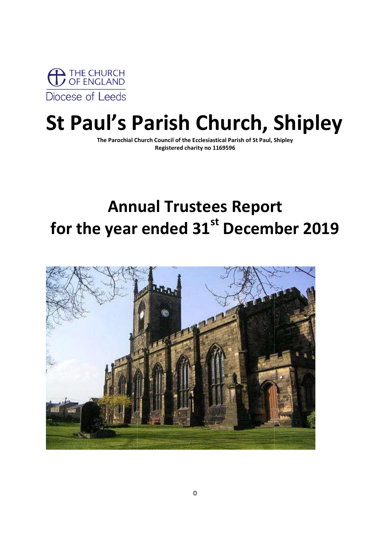

# St Paul's Parish Church, Shipley

The Parochial Church Council of the Ecclesiastical Parish of St Paul, Shipley The Parochial Church Council of the Ecclesiastical Parish of St Paul, Shipley Registered charity no 1169596

## Annual Trustees Report Annual Annual Trustees Report for the year ended 31 $^{\text{st}}$  December 2019

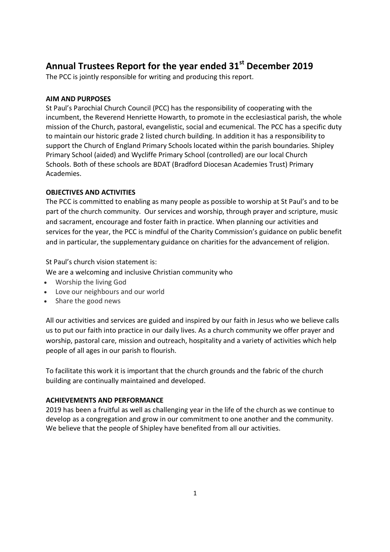## Annual Trustees Report for the year ended 31<sup>st</sup> December 2019

The PCC is jointly responsible for writing and producing this report.

## AIM AND PURPOSES

St Paul's Parochial Church Council (PCC) has the responsibility of cooperating with the incumbent, the Reverend Henriette Howarth, to promote in the ecclesiastical parish, the whole mission of the Church, pastoral, evangelistic, social and ecumenical. The PCC has a specific duty to maintain our historic grade 2 listed church building. In addition it has a responsibility to support the Church of England Primary Schools located within the parish boundaries. Shipley Primary School (aided) and Wycliffe Primary School (controlled) are our local Church Schools. Both of these schools are BDAT (Bradford Diocesan Academies Trust) Primary Academies.

## OBJECTIVES AND ACTIVITIES

The PCC is committed to enabling as many people as possible to worship at St Paul's and to be part of the church community. Our services and worship, through prayer and scripture, music and sacrament, encourage and foster faith in practice. When planning our activities and services for the year, the PCC is mindful of the Charity Commission's guidance on public benefit and in particular, the supplementary guidance on charities for the advancement of religion.

St Paul's church vision statement is:

We are a welcoming and inclusive Christian community who

- Worship the living God
- Love our neighbours and our world
- Share the good news

All our activities and services are guided and inspired by our faith in Jesus who we believe calls us to put our faith into practice in our daily lives. As a church community we offer prayer and worship, pastoral care, mission and outreach, hospitality and a variety of activities which help people of all ages in our parish to flourish.

To facilitate this work it is important that the church grounds and the fabric of the church building are continually maintained and developed.

## ACHIEVEMENTS AND PERFORMANCE

2019 has been a fruitful as well as challenging year in the life of the church as we continue to develop as a congregation and grow in our commitment to one another and the community. We believe that the people of Shipley have benefited from all our activities.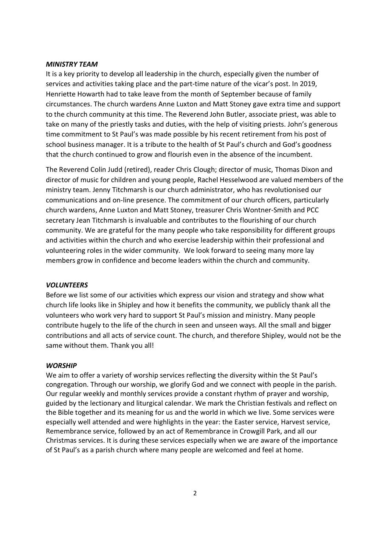#### MINISTRY TEAM

It is a key priority to develop all leadership in the church, especially given the number of services and activities taking place and the part-time nature of the vicar's post. In 2019, Henriette Howarth had to take leave from the month of September because of family circumstances. The church wardens Anne Luxton and Matt Stoney gave extra time and support to the church community at this time. The Reverend John Butler, associate priest, was able to take on many of the priestly tasks and duties, with the help of visiting priests. John's generous time commitment to St Paul's was made possible by his recent retirement from his post of school business manager. It is a tribute to the health of St Paul's church and God's goodness that the church continued to grow and flourish even in the absence of the incumbent.

The Reverend Colin Judd (retired), reader Chris Clough; director of music, Thomas Dixon and director of music for children and young people, Rachel Hesselwood are valued members of the ministry team. Jenny Titchmarsh is our church administrator, who has revolutionised our communications and on-line presence. The commitment of our church officers, particularly church wardens, Anne Luxton and Matt Stoney, treasurer Chris Wontner-Smith and PCC secretary Jean Titchmarsh is invaluable and contributes to the flourishing of our church community. We are grateful for the many people who take responsibility for different groups and activities within the church and who exercise leadership within their professional and volunteering roles in the wider community. We look forward to seeing many more lay members grow in confidence and become leaders within the church and community.

#### **VOLUNTEERS**

Before we list some of our activities which express our vision and strategy and show what church life looks like in Shipley and how it benefits the community, we publicly thank all the volunteers who work very hard to support St Paul's mission and ministry. Many people contribute hugely to the life of the church in seen and unseen ways. All the small and bigger contributions and all acts of service count. The church, and therefore Shipley, would not be the same without them. Thank you all!

#### **WORSHIP**

We aim to offer a variety of worship services reflecting the diversity within the St Paul's congregation. Through our worship, we glorify God and we connect with people in the parish. Our regular weekly and monthly services provide a constant rhythm of prayer and worship, guided by the lectionary and liturgical calendar. We mark the Christian festivals and reflect on the Bible together and its meaning for us and the world in which we live. Some services were especially well attended and were highlights in the year: the Easter service, Harvest service, Remembrance service, followed by an act of Remembrance in Crowgill Park, and all our Christmas services. It is during these services especially when we are aware of the importance of St Paul's as a parish church where many people are welcomed and feel at home.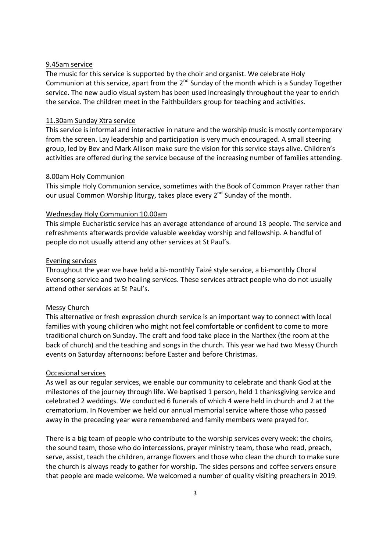## 9.45am service

The music for this service is supported by the choir and organist. We celebrate Holy Communion at this service, apart from the  $2^{nd}$  Sunday of the month which is a Sunday Together service. The new audio visual system has been used increasingly throughout the year to enrich the service. The children meet in the Faithbuilders group for teaching and activities.

## 11.30am Sunday Xtra service

This service is informal and interactive in nature and the worship music is mostly contemporary from the screen. Lay leadership and participation is very much encouraged. A small steering group, led by Bev and Mark Allison make sure the vision for this service stays alive. Children's activities are offered during the service because of the increasing number of families attending.

## 8.00am Holy Communion

This simple Holy Communion service, sometimes with the Book of Common Prayer rather than our usual Common Worship liturgy, takes place every 2<sup>nd</sup> Sunday of the month.

## Wednesday Holy Communion 10.00am

This simple Eucharistic service has an average attendance of around 13 people. The service and refreshments afterwards provide valuable weekday worship and fellowship. A handful of people do not usually attend any other services at St Paul's.

## Evening services

Throughout the year we have held a bi-monthly Taizé style service, a bi-monthly Choral Evensong service and two healing services. These services attract people who do not usually attend other services at St Paul's.

## Messy Church

This alternative or fresh expression church service is an important way to connect with local families with young children who might not feel comfortable or confident to come to more traditional church on Sunday. The craft and food take place in the Narthex (the room at the back of church) and the teaching and songs in the church. This year we had two Messy Church events on Saturday afternoons: before Easter and before Christmas.

## Occasional services

As well as our regular services, we enable our community to celebrate and thank God at the milestones of the journey through life. We baptised 1 person, held 1 thanksgiving service and celebrated 2 weddings. We conducted 6 funerals of which 4 were held in church and 2 at the crematorium. In November we held our annual memorial service where those who passed away in the preceding year were remembered and family members were prayed for.

There is a big team of people who contribute to the worship services every week: the choirs, the sound team, those who do intercessions, prayer ministry team, those who read, preach, serve, assist, teach the children, arrange flowers and those who clean the church to make sure the church is always ready to gather for worship. The sides persons and coffee servers ensure that people are made welcome. We welcomed a number of quality visiting preachers in 2019.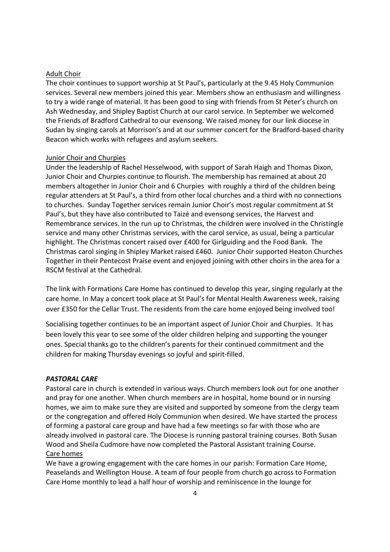## Adult Choir

The choir continues to support worship at St Paul's, particularly at the 9.45 Holy Communion services. Several new members joined this year. Members show an enthusiasm and willingness to try a wide range of material. It has been good to sing with friends from St Peter's church on Ash Wednesday, and Shipley Baptist Church at our carol service. In September we welcomed the Friends of Bradford Cathedral to our evensong. We raised money for our link diocese in Sudan by singing carols at Morrison's and at our summer concert for the Bradford-based charity Beacon which works with refugees and asylum seekers.

## **Junior Choir and Churpies**

Under the leadership of Rachel Hesselwood, with support of Sarah Haigh and Thomas Dixon, Junior Choir and Churpies continue to flourish. The membership has remained at about 20 members altogether in Junior Choir and 6 Churpies with roughly a third of the children being regular attenders at St Paul's, a third from other local churches and a third with no connections to churches. Sunday Together services remain Junior Choir's most regular commitment at St Paul's, but they have also contributed to Taizé and evensong services, the Harvest and Remembrance services. In the run up to Christmas, the children were involved in the Christingle service and many other Christmas services, with the carol service, as usual, being a particular highlight. The Christmas concert raised over £400 for Girlguiding and the Food Bank. The Christmas carol singing in Shipley Market raised £460. Junior Choir supported Heaton Churches Together in their Pentecost Praise event and enjoyed joining with other choirs in the area for a RSCM festival at the Cathedral.

The link with Formations Care Home has continued to develop this year, singing regularly at the care home. In May a concert took place at St Paul's for Mental Health Awareness week, raising over £350 for the Cellar Trust. The residents from the care home enjoyed being involved too!

Socialising together continues to be an important aspect of Junior Choir and Churpies. It has been lovely this year to see some of the older children helping and supporting the younger ones. Special thanks go to the children's parents for their continued commitment and the children for making Thursday evenings so joyful and spirit-filled.

#### PASTORAL CARE

Pastoral care in church is extended in various ways. Church members look out for one another and pray for one another. When church members are in hospital, home bound or in nursing homes, we aim to make sure they are visited and supported by someone from the clergy team or the congregation and offered Holy Communion when desired. We have started the process of forming a pastoral care group and have had a few meetings so far with those who are already involved in pastoral care. The Diocese is running pastoral training courses. Both Susan Wood and Sheila Cudmore have now completed the Pastoral Assistant training Course. Care homes

We have a growing engagement with the care homes in our parish: Formation Care Home, Peaselands and Wellington House. A team of four people from church go across to Formation Care Home monthly to lead a half hour of worship and reminiscence in the lounge for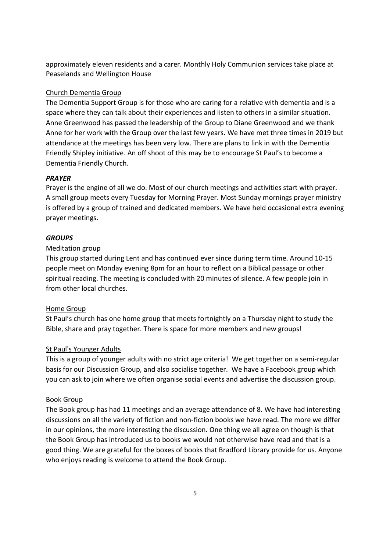approximately eleven residents and a carer. Monthly Holy Communion services take place at Peaselands and Wellington House

## Church Dementia Group

The Dementia Support Group is for those who are caring for a relative with dementia and is a space where they can talk about their experiences and listen to others in a similar situation. Anne Greenwood has passed the leadership of the Group to Diane Greenwood and we thank Anne for her work with the Group over the last few years. We have met three times in 2019 but attendance at the meetings has been very low. There are plans to link in with the Dementia Friendly Shipley initiative. An off shoot of this may be to encourage St Paul's to become a Dementia Friendly Church.

#### **PRAYER**

Prayer is the engine of all we do. Most of our church meetings and activities start with prayer. A small group meets every Tuesday for Morning Prayer. Most Sunday mornings prayer ministry is offered by a group of trained and dedicated members. We have held occasional extra evening prayer meetings.

## **GROUPS**

## Meditation group

This group started during Lent and has continued ever since during term time. Around 10-15 people meet on Monday evening 8pm for an hour to reflect on a Biblical passage or other spiritual reading. The meeting is concluded with 20 minutes of silence. A few people join in from other local churches.

## Home Group

St Paul's church has one home group that meets fortnightly on a Thursday night to study the Bible, share and pray together. There is space for more members and new groups!

## St Paul's Younger Adults

This is a group of younger adults with no strict age criteria! We get together on a semi-regular basis for our Discussion Group, and also socialise together. We have a Facebook group which you can ask to join where we often organise social events and advertise the discussion group.

#### Book Group

The Book group has had 11 meetings and an average attendance of 8. We have had interesting discussions on all the variety of fiction and non-fiction books we have read. The more we differ in our opinions, the more interesting the discussion. One thing we all agree on though is that the Book Group has introduced us to books we would not otherwise have read and that is a good thing. We are grateful for the boxes of books that Bradford Library provide for us. Anyone who enjoys reading is welcome to attend the Book Group.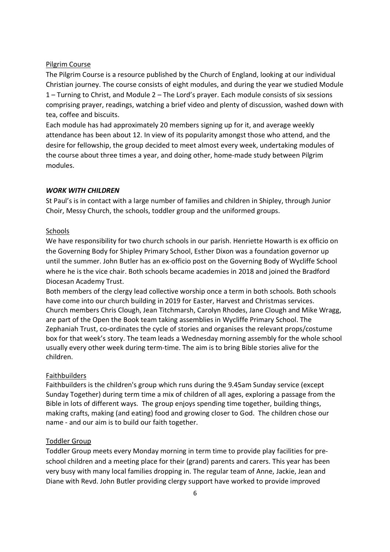## Pilgrim Course

The Pilgrim Course is a resource published by the Church of England, looking at our individual Christian journey. The course consists of eight modules, and during the year we studied Module 1 – Turning to Christ, and Module 2 – The Lord's prayer. Each module consists of six sessions comprising prayer, readings, watching a brief video and plenty of discussion, washed down with tea, coffee and biscuits.

Each module has had approximately 20 members signing up for it, and average weekly attendance has been about 12. In view of its popularity amongst those who attend, and the desire for fellowship, the group decided to meet almost every week, undertaking modules of the course about three times a year, and doing other, home-made study between Pilgrim modules.

## WORK WITH CHILDREN

St Paul's is in contact with a large number of families and children in Shipley, through Junior Choir, Messy Church, the schools, toddler group and the uniformed groups.

#### Schools

We have responsibility for two church schools in our parish. Henriette Howarth is ex officio on the Governing Body for Shipley Primary School, Esther Dixon was a foundation governor up until the summer. John Butler has an ex-officio post on the Governing Body of Wycliffe School where he is the vice chair. Both schools became academies in 2018 and joined the Bradford Diocesan Academy Trust.

Both members of the clergy lead collective worship once a term in both schools. Both schools have come into our church building in 2019 for Easter, Harvest and Christmas services. Church members Chris Clough, Jean Titchmarsh, Carolyn Rhodes, Jane Clough and Mike Wragg, are part of the Open the Book team taking assemblies in Wycliffe Primary School. The Zephaniah Trust, co-ordinates the cycle of stories and organises the relevant props/costume box for that week's story. The team leads a Wednesday morning assembly for the whole school usually every other week during term-time. The aim is to bring Bible stories alive for the children.

## Faithbuilders

Faithbuilders is the children's group which runs during the 9.45am Sunday service (except Sunday Together) during term time a mix of children of all ages, exploring a passage from the Bible in lots of different ways. The group enjoys spending time together, building things, making crafts, making (and eating) food and growing closer to God. The children chose our name - and our aim is to build our faith together.

## Toddler Group

Toddler Group meets every Monday morning in term time to provide play facilities for preschool children and a meeting place for their (grand) parents and carers. This year has been very busy with many local families dropping in. The regular team of Anne, Jackie, Jean and Diane with Revd. John Butler providing clergy support have worked to provide improved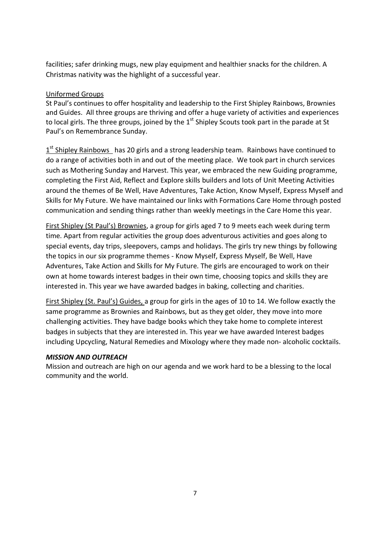facilities; safer drinking mugs, new play equipment and healthier snacks for the children. A Christmas nativity was the highlight of a successful year.

## Uniformed Groups

St Paul's continues to offer hospitality and leadership to the First Shipley Rainbows, Brownies and Guides. All three groups are thriving and offer a huge variety of activities and experiences to local girls. The three groups, joined by the  $1<sup>st</sup>$  Shipley Scouts took part in the parade at St Paul's on Remembrance Sunday.

1<sup>st</sup> Shipley Rainbows has 20 girls and a strong leadership team. Rainbows have continued to do a range of activities both in and out of the meeting place. We took part in church services such as Mothering Sunday and Harvest. This year, we embraced the new Guiding programme, completing the First Aid, Reflect and Explore skills builders and lots of Unit Meeting Activities around the themes of Be Well, Have Adventures, Take Action, Know Myself, Express Myself and Skills for My Future. We have maintained our links with Formations Care Home through posted communication and sending things rather than weekly meetings in the Care Home this year.

First Shipley (St Paul's) Brownies, a group for girls aged 7 to 9 meets each week during term time. Apart from regular activities the group does adventurous activities and goes along to special events, day trips, sleepovers, camps and holidays. The girls try new things by following the topics in our six programme themes - Know Myself, Express Myself, Be Well, Have Adventures, Take Action and Skills for My Future. The girls are encouraged to work on their own at home towards interest badges in their own time, choosing topics and skills they are interested in. This year we have awarded badges in baking, collecting and charities.

First Shipley (St. Paul's) Guides, a group for girls in the ages of 10 to 14. We follow exactly the same programme as Brownies and Rainbows, but as they get older, they move into more challenging activities. They have badge books which they take home to complete interest badges in subjects that they are interested in. This year we have awarded Interest badges including Upcycling, Natural Remedies and Mixology where they made non- alcoholic cocktails.

## MISSION AND OUTREACH

Mission and outreach are high on our agenda and we work hard to be a blessing to the local community and the world.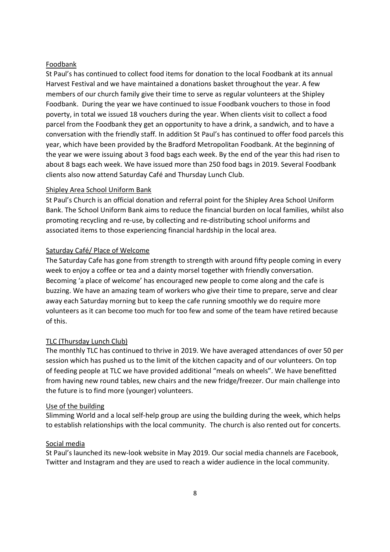## Foodbank

St Paul's has continued to collect food items for donation to the local Foodbank at its annual Harvest Festival and we have maintained a donations basket throughout the year. A few members of our church family give their time to serve as regular volunteers at the Shipley Foodbank. During the year we have continued to issue Foodbank vouchers to those in food poverty, in total we issued 18 vouchers during the year. When clients visit to collect a food parcel from the Foodbank they get an opportunity to have a drink, a sandwich, and to have a conversation with the friendly staff. In addition St Paul's has continued to offer food parcels this year, which have been provided by the Bradford Metropolitan Foodbank. At the beginning of the year we were issuing about 3 food bags each week. By the end of the year this had risen to about 8 bags each week. We have issued more than 250 food bags in 2019. Several Foodbank clients also now attend Saturday Café and Thursday Lunch Club.

## Shipley Area School Uniform Bank

St Paul's Church is an official donation and referral point for the Shipley Area School Uniform Bank. The School Uniform Bank aims to reduce the financial burden on local families, whilst also promoting recycling and re-use, by collecting and re-distributing school uniforms and associated items to those experiencing financial hardship in the local area.

## Saturday Café/ Place of Welcome

The Saturday Cafe has gone from strength to strength with around fifty people coming in every week to enjoy a coffee or tea and a dainty morsel together with friendly conversation. Becoming 'a place of welcome' has encouraged new people to come along and the cafe is buzzing. We have an amazing team of workers who give their time to prepare, serve and clear away each Saturday morning but to keep the cafe running smoothly we do require more volunteers as it can become too much for too few and some of the team have retired because of this.

## TLC (Thursday Lunch Club)

The monthly TLC has continued to thrive in 2019. We have averaged attendances of over 50 per session which has pushed us to the limit of the kitchen capacity and of our volunteers. On top of feeding people at TLC we have provided additional "meals on wheels". We have benefitted from having new round tables, new chairs and the new fridge/freezer. Our main challenge into the future is to find more (younger) volunteers.

## Use of the building

Slimming World and a local self-help group are using the building during the week, which helps to establish relationships with the local community. The church is also rented out for concerts.

## Social media

St Paul's launched its new-look website in May 2019. Our social media channels are Facebook, Twitter and Instagram and they are used to reach a wider audience in the local community.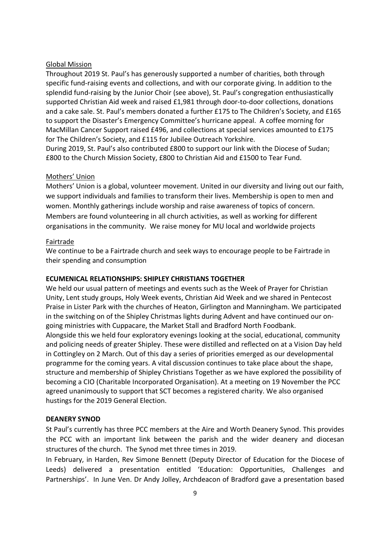## Global Mission

Throughout 2019 St. Paul's has generously supported a number of charities, both through specific fund-raising events and collections, and with our corporate giving. In addition to the splendid fund-raising by the Junior Choir (see above), St. Paul's congregation enthusiastically supported Christian Aid week and raised £1,981 through door-to-door collections, donations and a cake sale. St. Paul's members donated a further £175 to The Children's Society, and £165 to support the Disaster's Emergency Committee's hurricane appeal. A coffee morning for MacMillan Cancer Support raised £496, and collections at special services amounted to £175 for The Children's Society, and £115 for Jubilee Outreach Yorkshire.

During 2019, St. Paul's also contributed £800 to support our link with the Diocese of Sudan; £800 to the Church Mission Society, £800 to Christian Aid and £1500 to Tear Fund.

## Mothers' Union

Mothers' Union is a global, volunteer movement. United in our diversity and living out our faith, we support individuals and families to transform their lives. Membership is open to men and women. Monthly gatherings include worship and raise awareness of topics of concern. Members are found volunteering in all church activities, as well as working for different organisations in the community. We raise money for MU local and worldwide projects

## Fairtrade

We continue to be a Fairtrade church and seek ways to encourage people to be Fairtrade in their spending and consumption

## ECUMENICAL RELATIONSHIPS: SHIPLEY CHRISTIANS TOGETHER

We held our usual pattern of meetings and events such as the Week of Prayer for Christian Unity, Lent study groups, Holy Week events, Christian Aid Week and we shared in Pentecost Praise in Lister Park with the churches of Heaton, Girlington and Manningham. We participated in the switching on of the Shipley Christmas lights during Advent and have continued our ongoing ministries with Cuppacare, the Market Stall and Bradford North Foodbank. Alongside this we held four exploratory evenings looking at the social, educational, community and policing needs of greater Shipley. These were distilled and reflected on at a Vision Day held in Cottingley on 2 March. Out of this day a series of priorities emerged as our developmental programme for the coming years. A vital discussion continues to take place about the shape, structure and membership of Shipley Christians Together as we have explored the possibility of becoming a CIO (Charitable Incorporated Organisation). At a meeting on 19 November the PCC agreed unanimously to support that SCT becomes a registered charity. We also organised hustings for the 2019 General Election.

## DEANERY SYNOD

St Paul's currently has three PCC members at the Aire and Worth Deanery Synod. This provides the PCC with an important link between the parish and the wider deanery and diocesan structures of the church. The Synod met three times in 2019.

In February, in Harden, Rev Simone Bennett (Deputy Director of Education for the Diocese of Leeds) delivered a presentation entitled 'Education: Opportunities, Challenges and Partnerships'. In June Ven. Dr Andy Jolley, Archdeacon of Bradford gave a presentation based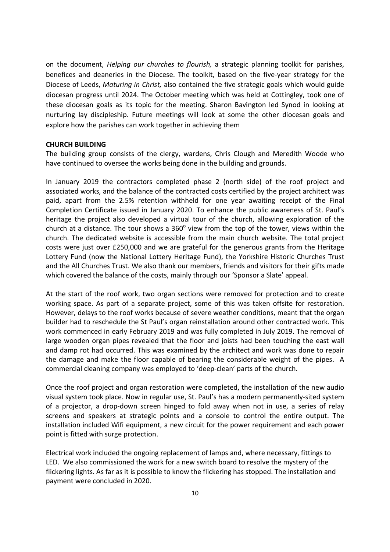on the document, Helping our churches to flourish, a strategic planning toolkit for parishes, benefices and deaneries in the Diocese. The toolkit, based on the five-year strategy for the Diocese of Leeds, Maturing in Christ, also contained the five strategic goals which would guide diocesan progress until 2024. The October meeting which was held at Cottingley, took one of these diocesan goals as its topic for the meeting. Sharon Bavington led Synod in looking at nurturing lay discipleship. Future meetings will look at some the other diocesan goals and explore how the parishes can work together in achieving them

## CHURCH BUILDING

The building group consists of the clergy, wardens, Chris Clough and Meredith Woode who have continued to oversee the works being done in the building and grounds.

In January 2019 the contractors completed phase 2 (north side) of the roof project and associated works, and the balance of the contracted costs certified by the project architect was paid, apart from the 2.5% retention withheld for one year awaiting receipt of the Final Completion Certificate issued in January 2020. To enhance the public awareness of St. Paul's heritage the project also developed a virtual tour of the church, allowing exploration of the church at a distance. The tour shows a  $360^{\circ}$  view from the top of the tower, views within the church. The dedicated website is accessible from the main church website. The total project costs were just over £250,000 and we are grateful for the generous grants from the Heritage Lottery Fund (now the National Lottery Heritage Fund), the Yorkshire Historic Churches Trust and the All Churches Trust. We also thank our members, friends and visitors for their gifts made which covered the balance of the costs, mainly through our 'Sponsor a Slate' appeal.

At the start of the roof work, two organ sections were removed for protection and to create working space. As part of a separate project, some of this was taken offsite for restoration. However, delays to the roof works because of severe weather conditions, meant that the organ builder had to reschedule the St Paul's organ reinstallation around other contracted work. This work commenced in early February 2019 and was fully completed in July 2019. The removal of large wooden organ pipes revealed that the floor and joists had been touching the east wall and damp rot had occurred. This was examined by the architect and work was done to repair the damage and make the floor capable of bearing the considerable weight of the pipes. A commercial cleaning company was employed to 'deep-clean' parts of the church.

Once the roof project and organ restoration were completed, the installation of the new audio visual system took place. Now in regular use, St. Paul's has a modern permanently-sited system of a projector, a drop-down screen hinged to fold away when not in use, a series of relay screens and speakers at strategic points and a console to control the entire output. The installation included Wifi equipment, a new circuit for the power requirement and each power point is fitted with surge protection.

Electrical work included the ongoing replacement of lamps and, where necessary, fittings to LED. We also commissioned the work for a new switch board to resolve the mystery of the flickering lights. As far as it is possible to know the flickering has stopped. The installation and payment were concluded in 2020.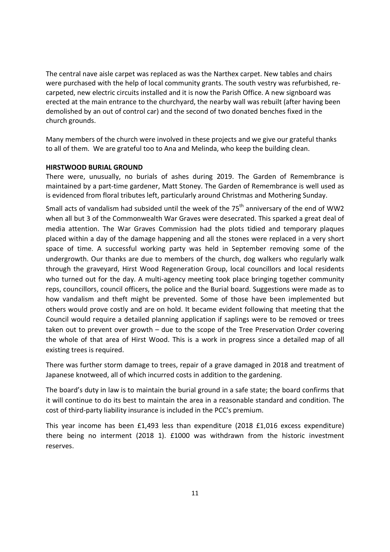The central nave aisle carpet was replaced as was the Narthex carpet. New tables and chairs were purchased with the help of local community grants. The south vestry was refurbished, recarpeted, new electric circuits installed and it is now the Parish Office. A new signboard was erected at the main entrance to the churchyard, the nearby wall was rebuilt (after having been demolished by an out of control car) and the second of two donated benches fixed in the church grounds.

Many members of the church were involved in these projects and we give our grateful thanks to all of them. We are grateful too to Ana and Melinda, who keep the building clean.

## HIRSTWOOD BURIAL GROUND

There were, unusually, no burials of ashes during 2019. The Garden of Remembrance is maintained by a part-time gardener, Matt Stoney. The Garden of Remembrance is well used as is evidenced from floral tributes left, particularly around Christmas and Mothering Sunday.

Small acts of vandalism had subsided until the week of the  $75<sup>th</sup>$  anniversary of the end of WW2 when all but 3 of the Commonwealth War Graves were desecrated. This sparked a great deal of media attention. The War Graves Commission had the plots tidied and temporary plaques placed within a day of the damage happening and all the stones were replaced in a very short space of time. A successful working party was held in September removing some of the undergrowth. Our thanks are due to members of the church, dog walkers who regularly walk through the graveyard, Hirst Wood Regeneration Group, local councillors and local residents who turned out for the day. A multi-agency meeting took place bringing together community reps, councillors, council officers, the police and the Burial board. Suggestions were made as to how vandalism and theft might be prevented. Some of those have been implemented but others would prove costly and are on hold. It became evident following that meeting that the Council would require a detailed planning application if saplings were to be removed or trees taken out to prevent over growth – due to the scope of the Tree Preservation Order covering the whole of that area of Hirst Wood. This is a work in progress since a detailed map of all existing trees is required.

There was further storm damage to trees, repair of a grave damaged in 2018 and treatment of Japanese knotweed, all of which incurred costs in addition to the gardening.

The board's duty in law is to maintain the burial ground in a safe state; the board confirms that it will continue to do its best to maintain the area in a reasonable standard and condition. The cost of third-party liability insurance is included in the PCC's premium.

This year income has been £1,493 less than expenditure (2018 £1,016 excess expenditure) there being no interment (2018 1). £1000 was withdrawn from the historic investment reserves.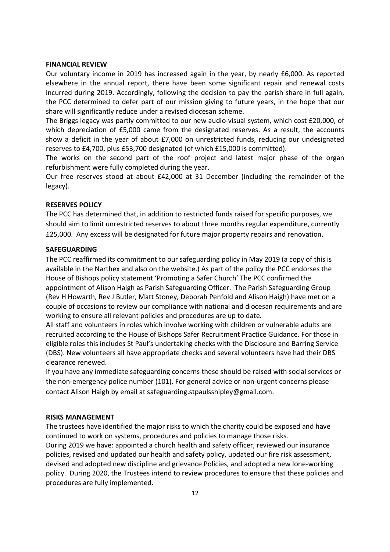#### FINANCIAL REVIEW

Our voluntary income in 2019 has increased again in the year, by nearly £6,000. As reported elsewhere in the annual report, there have been some significant repair and renewal costs incurred during 2019. Accordingly, following the decision to pay the parish share in full again, the PCC determined to defer part of our mission giving to future years, in the hope that our share will significantly reduce under a revised diocesan scheme.

The Briggs legacy was partly committed to our new audio-visual system, which cost £20,000, of which depreciation of £5,000 came from the designated reserves. As a result, the accounts show a deficit in the year of about £7,000 on unrestricted funds, reducing our undesignated reserves to £4,700, plus £53,700 designated (of which £15,000 is committed).

The works on the second part of the roof project and latest major phase of the organ refurbishment were fully completed during the year.

Our free reserves stood at about £42,000 at 31 December (including the remainder of the legacy).

## RESERVES POLICY

The PCC has determined that, in addition to restricted funds raised for specific purposes, we should aim to limit unrestricted reserves to about three months regular expenditure, currently £25,000. Any excess will be designated for future major property repairs and renovation.

## SAFEGUARDING

The PCC reaffirmed its commitment to our safeguarding policy in May 2019 (a copy of this is available in the Narthex and also on the website.) As part of the policy the PCC endorses the House of Bishops policy statement 'Promoting a Safer Church' The PCC confirmed the appointment of Alison Haigh as Parish Safeguarding Officer. The Parish Safeguarding Group (Rev H Howarth, Rev J Butler, Matt Stoney, Deborah Penfold and Alison Haigh) have met on a couple of occasions to review our compliance with national and diocesan requirements and are working to ensure all relevant policies and procedures are up to date.

All staff and volunteers in roles which involve working with children or vulnerable adults are recruited according to the House of Bishops Safer Recruitment Practice Guidance. For those in eligible roles this includes St Paul's undertaking checks with the Disclosure and Barring Service (DBS). New volunteers all have appropriate checks and several volunteers have had their DBS clearance renewed.

If you have any immediate safeguarding concerns these should be raised with social services or the non-emergency police number (101). For general advice or non-urgent concerns please contact Alison Haigh by email at safeguarding.stpaulsshipley@gmail.com.

#### RISKS MANAGEMENT

The trustees have identified the major risks to which the charity could be exposed and have continued to work on systems, procedures and policies to manage those risks. During 2019 we have: appointed a church health and safety officer, reviewed our insurance policies, revised and updated our health and safety policy, updated our fire risk assessment, devised and adopted new discipline and grievance Policies, and adopted a new lone-working policy. During 2020, the Trustees intend to review procedures to ensure that these policies and procedures are fully implemented.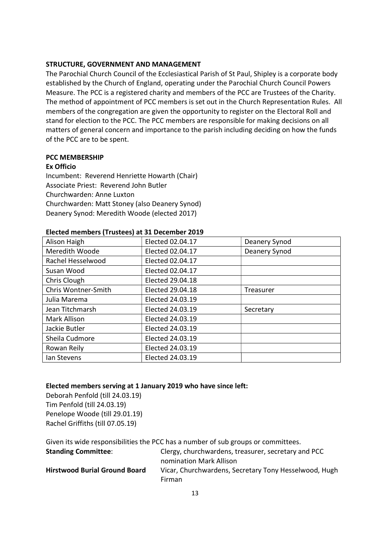## STRUCTURE, GOVERNMENT AND MANAGEMENT

The Parochial Church Council of the Ecclesiastical Parish of St Paul, Shipley is a corporate body established by the Church of England, operating under the Parochial Church Council Powers Measure. The PCC is a registered charity and members of the PCC are Trustees of the Charity. The method of appointment of PCC members is set out in the Church Representation Rules. All members of the congregation are given the opportunity to register on the Electoral Roll and stand for election to the PCC. The PCC members are responsible for making decisions on all matters of general concern and importance to the parish including deciding on how the funds of the PCC are to be spent.

## PCC MEMBERSHIP

## Ex Officio

Incumbent: Reverend Henriette Howarth (Chair) Associate Priest: Reverend John Butler Churchwarden: Anne Luxton Churchwarden: Matt Stoney (also Deanery Synod) Deanery Synod: Meredith Woode (elected 2017)

## Elected members (Trustees) at 31 December 2019

| Alison Haigh        | Elected 02.04.17 | Deanery Synod    |
|---------------------|------------------|------------------|
| Meredith Woode      | Elected 02.04.17 | Deanery Synod    |
| Rachel Hesselwood   | Elected 02.04.17 |                  |
| Susan Wood          | Elected 02.04.17 |                  |
| Chris Clough        | Elected 29.04.18 |                  |
| Chris Wontner-Smith | Elected 29.04.18 | <b>Treasurer</b> |
| Julia Marema        | Elected 24.03.19 |                  |
| Jean Titchmarsh     | Elected 24.03.19 | Secretary        |
| Mark Allison        | Elected 24.03.19 |                  |
| Jackie Butler       | Elected 24.03.19 |                  |
| Sheila Cudmore      | Elected 24.03.19 |                  |
| Rowan Reily         | Elected 24.03.19 |                  |
| lan Stevens         | Elected 24.03.19 |                  |

## Elected members serving at 1 January 2019 who have since left:

Deborah Penfold (till 24.03.19) Tim Penfold (till 24.03.19) Penelope Woode (till 29.01.19) Rachel Griffiths (till 07.05.19)

Given its wide responsibilities the PCC has a number of sub groups or committees.

| <b>Standing Committee:</b>           | Clergy, churchwardens, treasurer, secretary and PCC   |
|--------------------------------------|-------------------------------------------------------|
|                                      | nomination Mark Allison                               |
| <b>Hirstwood Burial Ground Board</b> | Vicar, Churchwardens, Secretary Tony Hesselwood, Hugh |
|                                      | Firman                                                |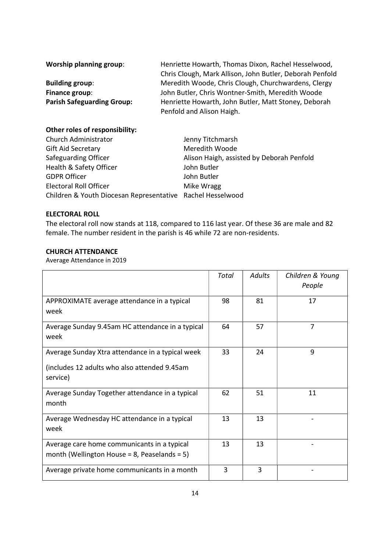| <b>Worship planning group:</b>    | Henriette Howarth, Thomas Dixon, Rachel Hesselwood,      |  |
|-----------------------------------|----------------------------------------------------------|--|
|                                   | Chris Clough, Mark Allison, John Butler, Deborah Penfold |  |
| <b>Building group:</b>            | Meredith Woode, Chris Clough, Churchwardens, Clergy      |  |
| Finance group:                    | John Butler, Chris Wontner-Smith, Meredith Woode         |  |
| <b>Parish Safeguarding Group:</b> | Henriette Howarth, John Butler, Matt Stoney, Deborah     |  |
|                                   | Penfold and Alison Haigh.                                |  |

## Other roles of responsibility:

| Church Administrator                                       | Jenny Titchmarsh                          |
|------------------------------------------------------------|-------------------------------------------|
| <b>Gift Aid Secretary</b>                                  | Meredith Woode                            |
| Safeguarding Officer                                       | Alison Haigh, assisted by Deborah Penfold |
| Health & Safety Officer                                    | John Butler                               |
| <b>GDPR Officer</b>                                        | John Butler                               |
| <b>Electoral Roll Officer</b>                              | Mike Wragg                                |
| Children & Youth Diocesan Representative Rachel Hesselwood |                                           |

## ELECTORAL ROLL

The electoral roll now stands at 118, compared to 116 last year. Of these 36 are male and 82 female. The number resident in the parish is 46 while 72 are non-residents.

## CHURCH ATTENDANCE

Average Attendance in 2019

|                                                                                                              | Total | <b>Adults</b> | Children & Young<br>People |
|--------------------------------------------------------------------------------------------------------------|-------|---------------|----------------------------|
| APPROXIMATE average attendance in a typical<br>week                                                          | 98    | 81            | 17                         |
| Average Sunday 9.45am HC attendance in a typical<br>week                                                     | 64    | 57            | 7                          |
| Average Sunday Xtra attendance in a typical week<br>(includes 12 adults who also attended 9.45am<br>service) | 33    | 24            | 9                          |
| Average Sunday Together attendance in a typical<br>month                                                     | 62    | 51            | 11                         |
| Average Wednesday HC attendance in a typical<br>week                                                         | 13    | 13            |                            |
| Average care home communicants in a typical<br>month (Wellington House = 8, Peaselands = 5)                  | 13    | 13            |                            |
| Average private home communicants in a month                                                                 | 3     | 3             |                            |